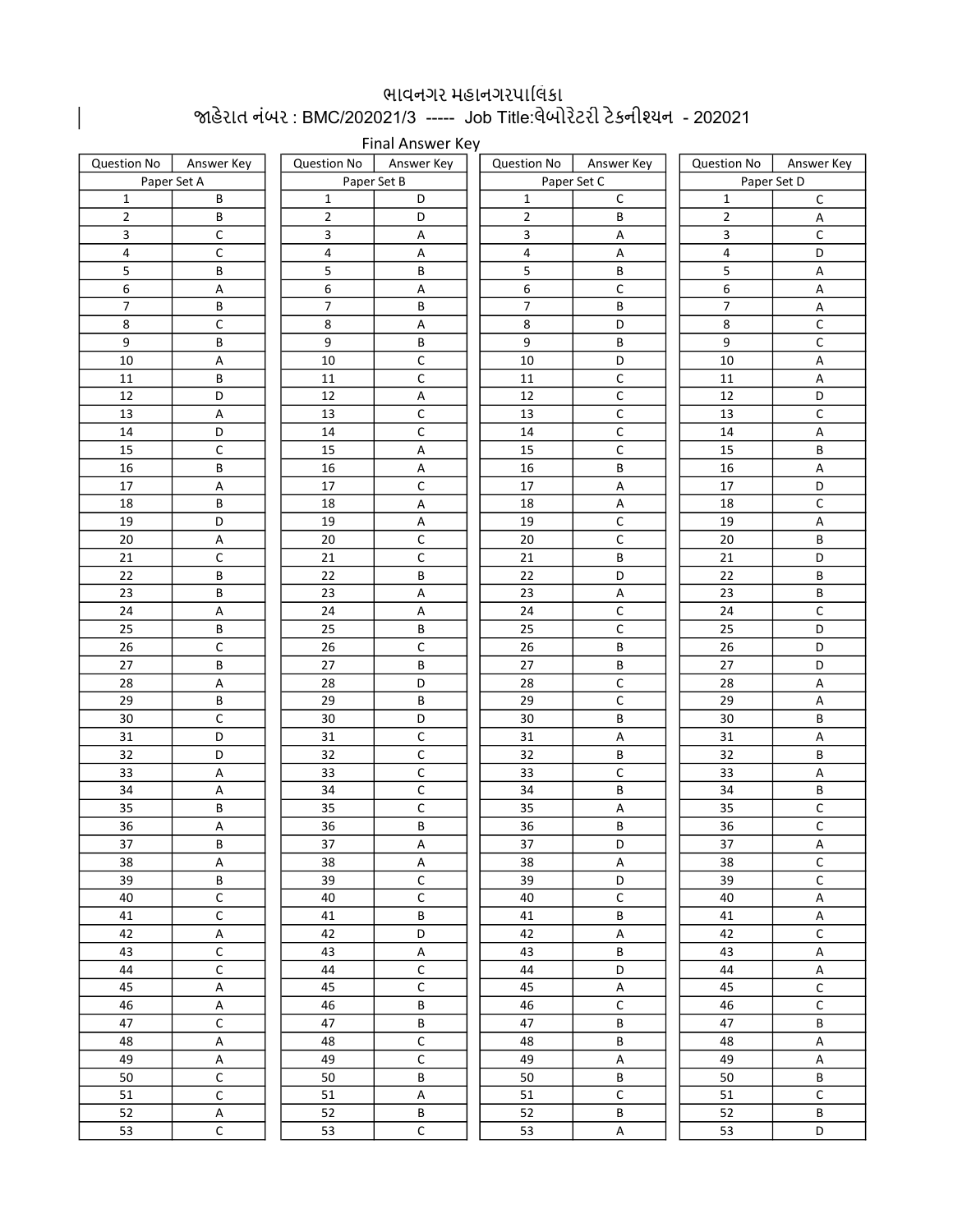## . ભાવનગર મહાનગરપાલિકા<br>જાહેરાત નંબર : BMC/202021/3 ----- Job Title:લેબોરેટરી ટેકનીશ્યન - 202021

|                  | Final Answer Key        |                          |                           |                          |                                  |                 |                |  |  |  |  |  |  |
|------------------|-------------------------|--------------------------|---------------------------|--------------------------|----------------------------------|-----------------|----------------|--|--|--|--|--|--|
| Question No      | Answer Key              | <b>Question No</b>       | Answer Key                | <b>Question No</b>       | Answer Key                       | Question No     | Answer Key     |  |  |  |  |  |  |
| Paper Set A      |                         |                          | Paper Set B               |                          | Paper Set C                      | Paper Set D     |                |  |  |  |  |  |  |
| $\mathbf{1}$     | B                       | $\mathbf{1}$             | D                         | $\mathbf{1}$             | $\mathsf{C}$                     | $\mathbf{1}$    | $\mathsf{C}$   |  |  |  |  |  |  |
| $\overline{2}$   | B                       | $\overline{2}$           | D                         | $\overline{2}$           | B                                | $\overline{2}$  | А              |  |  |  |  |  |  |
| $\mathbf{3}$     | $\mathsf C$             | 3                        | $\boldsymbol{\mathsf{A}}$ | $\mathbf{3}$             | $\mathsf A$                      | $\mathbf{3}$    | $\mathsf C$    |  |  |  |  |  |  |
| 4                | $\mathsf C$             | 4                        | Α                         | 4                        | A                                | 4               | D              |  |  |  |  |  |  |
| 5                | $\sf B$                 | 5                        | В                         | 5                        | B                                | 5               | $\mathsf A$    |  |  |  |  |  |  |
| $\boldsymbol{6}$ | Α                       | 6                        | $\mathsf A$               | 6                        | $\mathsf C$                      | 6               | A              |  |  |  |  |  |  |
| $\overline{7}$   | B                       | $\overline{\mathcal{I}}$ | В                         | $\overline{\mathcal{I}}$ | B                                | $\overline{7}$  | А              |  |  |  |  |  |  |
| $\bf 8$          | $\mathsf C$             | 8                        | $\sf A$                   | 8                        | D                                | $\,8\,$         | $\mathsf C$    |  |  |  |  |  |  |
| 9                | B                       | 9                        | B                         | 9                        | B                                | 9               | $\mathsf C$    |  |  |  |  |  |  |
| 10               | A                       | 10                       | C                         | 10                       | D                                | 10              | A              |  |  |  |  |  |  |
| 11               | $\sf B$                 | 11                       | $\mathsf C$               | 11                       | $\overline{C}$                   | 11              | A              |  |  |  |  |  |  |
| 12               | D                       | 12                       | $\mathsf A$               | 12                       | $\mathsf C$                      | 12              | D              |  |  |  |  |  |  |
| 13               | Α                       | 13                       | $\mathsf C$               | 13                       | $\mathsf C$                      | 13              | С              |  |  |  |  |  |  |
| 14               | D                       | 14                       | $\mathsf C$               | 14                       | $\overline{\mathsf{C}}$          | 14              | $\mathsf A$    |  |  |  |  |  |  |
| 15               | $\mathsf C$             | 15                       | Α                         | 15                       | $\mathsf C$                      | 15              | B              |  |  |  |  |  |  |
| 16               | B                       | 16                       | Α                         | 16                       | B                                | 16              | А              |  |  |  |  |  |  |
| 17               | Α                       | 17                       | C                         | 17                       | $\mathsf A$                      | $17\,$          | D              |  |  |  |  |  |  |
| 18               | B                       | 18                       | $\mathsf A$               | 18                       | $\mathsf A$                      | 18              | $\mathsf C$    |  |  |  |  |  |  |
| 19               | D                       | 19                       | $\mathsf A$               | 19                       | $\overline{C}$<br>$\overline{C}$ | 19              | A              |  |  |  |  |  |  |
| 20               | Α<br>$\mathsf C$        | 20                       | С                         | 20                       | B                                | 20              | В              |  |  |  |  |  |  |
| 21<br>22         | B                       | 21<br>22                 | C<br>B                    | 21<br>22                 | D                                | 21<br>22        | D<br>B         |  |  |  |  |  |  |
| 23               | В                       | 23                       | $\mathsf A$               | 23                       | Α                                | 23              | В              |  |  |  |  |  |  |
| 24               | Α                       | 24                       |                           | 24                       | $\mathsf C$                      | 24              | C              |  |  |  |  |  |  |
| 25               | B                       | 25                       | Α<br>В                    | 25                       | $\mathsf C$                      | 25              | D              |  |  |  |  |  |  |
| 26               | $\mathsf{C}$            | 26                       | $\mathsf C$               | 26                       | В                                | 26              | D              |  |  |  |  |  |  |
| 27               | B                       | 27                       | В                         | 27                       | В                                | 27              | D              |  |  |  |  |  |  |
| 28               | Α                       | 28                       | D                         | 28                       | $\mathsf C$                      | 28              | А              |  |  |  |  |  |  |
| 29               | В                       | 29                       | В                         | 29                       | $\mathsf C$                      | 29              | Α              |  |  |  |  |  |  |
| 30               | $\mathsf C$             | 30                       | D                         | 30                       | B                                | 30              | В              |  |  |  |  |  |  |
| 31               | D                       | 31                       | C                         | 31                       | Α                                | 31              | А              |  |  |  |  |  |  |
| 32               | D                       | 32                       | C                         | 32                       | B                                | 32              | В              |  |  |  |  |  |  |
| 33               | Α                       | 33                       | $\mathsf C$               | 33                       | $\mathsf C$                      | 33              | $\mathsf A$    |  |  |  |  |  |  |
| 34               | A                       | 34                       | $\mathsf C$               | 34                       | B                                | 34              | B              |  |  |  |  |  |  |
| 35               | В                       | 35                       | C                         | 35                       | A                                | 35              | $\mathsf C$    |  |  |  |  |  |  |
| $\overline{36}$  | $\mathsf A$             | $\overline{36}$          | B                         | $\overline{36}$          | $\overline{B}$                   | $\overline{36}$ | $\overline{C}$ |  |  |  |  |  |  |
| 37               | В                       | 37                       | A                         | 37                       | D                                | 37              | Α              |  |  |  |  |  |  |
| 38               | Α                       | 38                       | Α                         | 38                       | Α                                | 38              | $\mathsf C$    |  |  |  |  |  |  |
| 39               | B                       | 39                       | $\mathsf C$               | 39                       | D                                | 39              | $\mathsf C$    |  |  |  |  |  |  |
| 40               | $\mathsf{C}$            | 40                       | С                         | 40                       | $\mathsf C$                      | 40              | А              |  |  |  |  |  |  |
| 41               | $\mathsf{C}$            | 41                       | B                         | 41                       | В                                | 41              | Α              |  |  |  |  |  |  |
| 42               | Α                       | 42                       | D                         | 42                       | A                                | 42              | $\mathsf C$    |  |  |  |  |  |  |
| 43               | $\mathsf C$             | 43                       | $\mathsf A$               | 43                       | В                                | 43              | A              |  |  |  |  |  |  |
| 44               | $\overline{C}$          | 44                       | $\mathsf C$               | 44                       | D                                | $44\,$          | $\mathsf A$    |  |  |  |  |  |  |
| 45               | $\sf A$                 | 45                       | ${\mathsf C}$             | 45                       | $\mathsf A$                      | 45              | $\mathsf C$    |  |  |  |  |  |  |
| 46               | $\mathsf A$             | 46                       | B                         | 46                       | $\mathsf C$                      | 46              | $\mathsf C$    |  |  |  |  |  |  |
| 47               | $\mathsf C$             | 47                       | B                         | 47                       | B                                | 47              | B              |  |  |  |  |  |  |
| 48               | $\mathsf A$             | 48                       | $\mathsf C$               | 48                       | B                                | 48              | $\mathsf A$    |  |  |  |  |  |  |
| 49               | $\mathsf A$             | 49                       | $\mathsf C$               | 49                       | $\mathsf A$                      | 49              | A              |  |  |  |  |  |  |
| 50               | $\mathsf C$             | 50                       | В                         | 50                       | В                                | 50              | B              |  |  |  |  |  |  |
| 51               | $\mathsf{C}$            | 51                       | $\mathsf A$               | 51                       | $\mathsf C$                      | 51              | С              |  |  |  |  |  |  |
| 52               | A                       | 52                       | B                         | 52                       | В                                | 52              | B              |  |  |  |  |  |  |
| 53               | $\overline{\mathsf{C}}$ | 53                       | $\mathsf{C}$              | 53                       | Α                                | 53              | D              |  |  |  |  |  |  |